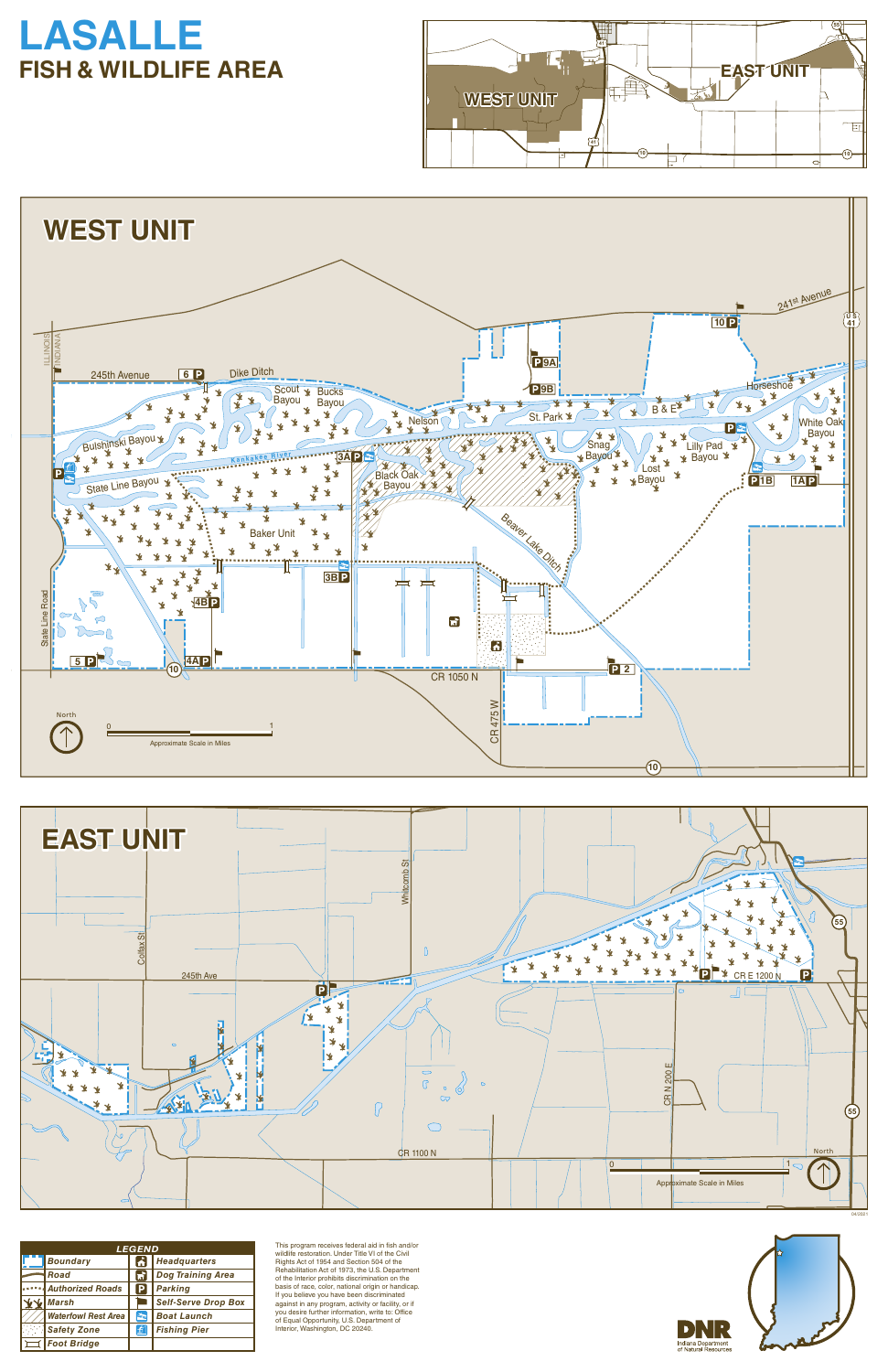This program receives federal aid in fish and/or wildlife restoration. Under Title VI of the Civil Rights Act of 1954 and Section 504 of the Rehabilitation Act of 1973, the U.S. Department of the Interior prohibits discrimination on the basis of race, color, national origin or handicap. If you believe you have been discriminated against in any program, activity or facility, or if you desire further information, write to: Office of Equal Opportunity, U.S. Department of Interior, Washington, DC 20240.



| <i><b>LEGEND</b></i> |                            |      |                            |
|----------------------|----------------------------|------|----------------------------|
|                      | <b>Boundary</b>            |      | <b>Headquarters</b>        |
|                      | Road                       | ार्ग | <b>Dog Training Area</b>   |
|                      | <b>Authorized Roads</b>    | P    | <b>Parking</b>             |
|                      | <b>Marsh</b>               |      | <b>Self-Serve Drop Box</b> |
|                      | <b>Waterfowl Rest Area</b> | E.   | <b>Boat Launch</b>         |
|                      | <b>Safety Zone</b>         | 鱼    | <b>Fishing Pier</b>        |
|                      | <b>Foot Bridge</b>         |      |                            |

# **LASALLE FISH & WILDLIFE AREA**